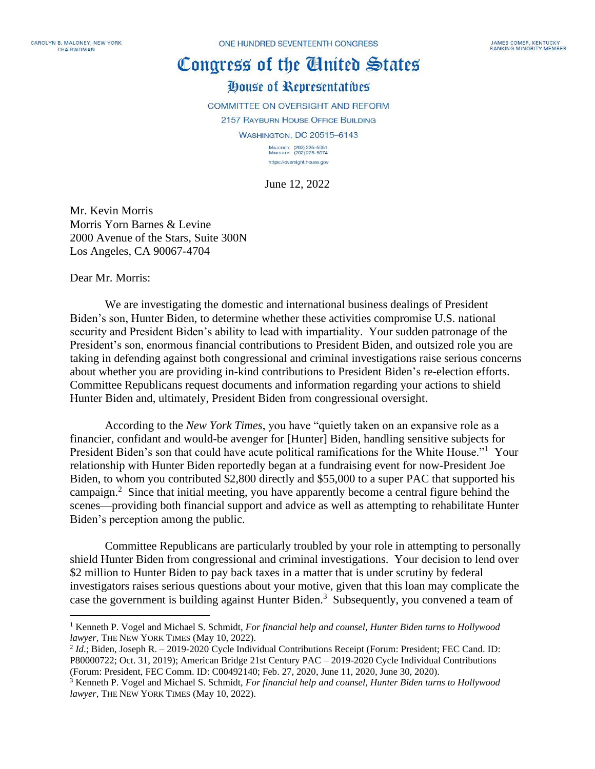ONE HUNDRED SEVENTEENTH CONGRESS

## Congress of the Cluited States

## House of Representatives

**COMMITTEE ON OVERSIGHT AND REFORM 2157 RAYBURN HOUSE OFFICE BUILDING WASHINGTON, DC 20515-6143** MAJORITY (202) 225-5051<br>MINORITY (202) 225-5074 https://oversight.house.gov

June 12, 2022

Mr. Kevin Morris Morris Yorn Barnes & Levine 2000 Avenue of the Stars, Suite 300N Los Angeles, CA 90067-4704

Dear Mr. Morris:

We are investigating the domestic and international business dealings of President Biden's son, Hunter Biden, to determine whether these activities compromise U.S. national security and President Biden's ability to lead with impartiality. Your sudden patronage of the President's son, enormous financial contributions to President Biden, and outsized role you are taking in defending against both congressional and criminal investigations raise serious concerns about whether you are providing in-kind contributions to President Biden's re-election efforts. Committee Republicans request documents and information regarding your actions to shield Hunter Biden and, ultimately, President Biden from congressional oversight.

According to the *New York Times*, you have "quietly taken on an expansive role as a financier, confidant and would-be avenger for [Hunter] Biden, handling sensitive subjects for President Biden's son that could have acute political ramifications for the White House."<sup>1</sup> Your relationship with Hunter Biden reportedly began at a fundraising event for now-President Joe Biden, to whom you contributed \$2,800 directly and \$55,000 to a super PAC that supported his campaign.<sup>2</sup> Since that initial meeting, you have apparently become a central figure behind the scenes—providing both financial support and advice as well as attempting to rehabilitate Hunter Biden's perception among the public.

Committee Republicans are particularly troubled by your role in attempting to personally shield Hunter Biden from congressional and criminal investigations. Your decision to lend over \$2 million to Hunter Biden to pay back taxes in a matter that is under scrutiny by federal investigators raises serious questions about your motive, given that this loan may complicate the case the government is building against Hunter Biden.<sup>3</sup> Subsequently, you convened a team of

<sup>1</sup> Kenneth P. Vogel and Michael S. Schmidt, *For financial help and counsel, Hunter Biden turns to Hollywood lawyer,* THE NEW YORK TIMES (May 10, 2022).

<sup>&</sup>lt;sup>2</sup> *Id.*; Biden, Joseph R. - 2019-2020 Cycle Individual Contributions Receipt (Forum: President; FEC Cand. ID: P80000722; Oct. 31, 2019); American Bridge 21st Century PAC – 2019-2020 Cycle Individual Contributions (Forum: President, FEC Comm. ID: C00492140; Feb. 27, 2020, June 11, 2020, June 30, 2020).

<sup>3</sup> Kenneth P. Vogel and Michael S. Schmidt, *For financial help and counsel, Hunter Biden turns to Hollywood lawyer,* THE NEW YORK TIMES (May 10, 2022).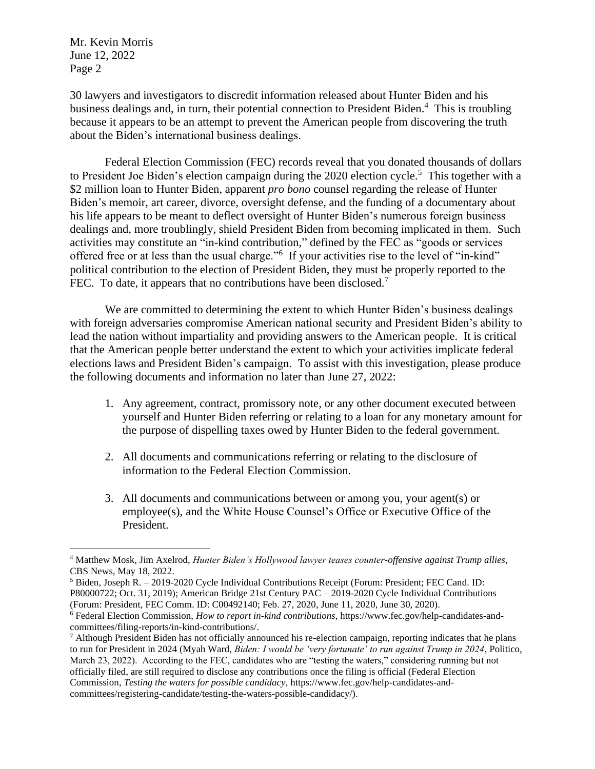Mr. Kevin Morris June 12, 2022 Page 2

30 lawyers and investigators to discredit information released about Hunter Biden and his business dealings and, in turn, their potential connection to President Biden.<sup>4</sup> This is troubling because it appears to be an attempt to prevent the American people from discovering the truth about the Biden's international business dealings.

Federal Election Commission (FEC) records reveal that you donated thousands of dollars to President Joe Biden's election campaign during the 2020 election cycle.<sup>5</sup> This together with a \$2 million loan to Hunter Biden, apparent *pro bono* counsel regarding the release of Hunter Biden's memoir, art career, divorce, oversight defense, and the funding of a documentary about his life appears to be meant to deflect oversight of Hunter Biden's numerous foreign business dealings and, more troublingly, shield President Biden from becoming implicated in them. Such activities may constitute an "in-kind contribution," defined by the FEC as "goods or services offered free or at less than the usual charge."<sup>6</sup> If your activities rise to the level of "in-kind" political contribution to the election of President Biden, they must be properly reported to the FEC. To date, it appears that no contributions have been disclosed.<sup>7</sup>

We are committed to determining the extent to which Hunter Biden's business dealings with foreign adversaries compromise American national security and President Biden's ability to lead the nation without impartiality and providing answers to the American people. It is critical that the American people better understand the extent to which your activities implicate federal elections laws and President Biden's campaign. To assist with this investigation, please produce the following documents and information no later than June 27, 2022:

- 1. Any agreement, contract, promissory note, or any other document executed between yourself and Hunter Biden referring or relating to a loan for any monetary amount for the purpose of dispelling taxes owed by Hunter Biden to the federal government.
- 2. All documents and communications referring or relating to the disclosure of information to the Federal Election Commission.
- 3. All documents and communications between or among you, your agent(s) or employee(s), and the White House Counsel's Office or Executive Office of the President.

<sup>4</sup> Matthew Mosk, Jim Axelrod, *Hunter Biden's Hollywood lawyer teases counter-offensive against Trump allies*, CBS News, May 18, 2022.

<sup>5</sup> Biden, Joseph R. – 2019-2020 Cycle Individual Contributions Receipt (Forum: President; FEC Cand. ID: P80000722; Oct. 31, 2019); American Bridge 21st Century PAC – 2019-2020 Cycle Individual Contributions (Forum: President, FEC Comm. ID: C00492140; Feb. 27, 2020, June 11, 2020, June 30, 2020).

<sup>6</sup> Federal Election Commission, *How to report in-kind contributions*, https://www.fec.gov/help-candidates-andcommittees/filing-reports/in-kind-contributions/.

<sup>7</sup> Although President Biden has not officially announced his re-election campaign, reporting indicates that he plans to run for President in 2024 (Myah Ward, *Biden: I would be 'very fortunate' to run against Trump in 2024*, Politico, March 23, 2022). According to the FEC, candidates who are "testing the waters," considering running but not officially filed, are still required to disclose any contributions once the filing is official (Federal Election Commission, *Testing the waters for possible candidacy*, https://www.fec.gov/help-candidates-andcommittees/registering-candidate/testing-the-waters-possible-candidacy/).